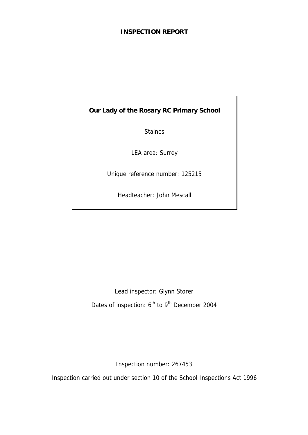# **INSPECTION REPORT**

**Our Lady of the Rosary RC Primary School** 

Staines

LEA area: Surrey

Unique reference number: 125215

Headteacher: John Mescall

Lead inspector: Glynn Storer Dates of inspection: 6<sup>th</sup> to 9<sup>th</sup> December 2004

Inspection number: 267453

Inspection carried out under section 10 of the School Inspections Act 1996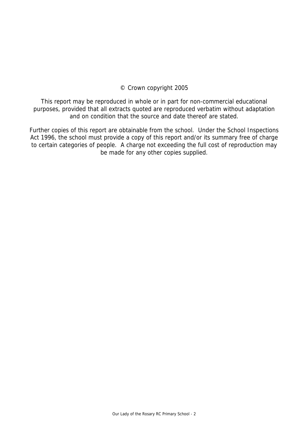# © Crown copyright 2005

This report may be reproduced in whole or in part for non-commercial educational purposes, provided that all extracts quoted are reproduced verbatim without adaptation and on condition that the source and date thereof are stated.

Further copies of this report are obtainable from the school. Under the School Inspections Act 1996, the school must provide a copy of this report and/or its summary free of charge to certain categories of people. A charge not exceeding the full cost of reproduction may be made for any other copies supplied.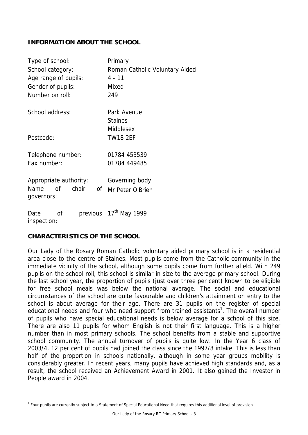# **INFORMATION ABOUT THE SCHOOL**

| Type of school:                       | Primary                            |
|---------------------------------------|------------------------------------|
| School category:                      | Roman Catholic Voluntary Aided     |
| Age range of pupils:                  | $4 - 11$                           |
| Gender of pupils:                     | Mixed                              |
| Number on roll:                       | 249                                |
|                                       |                                    |
| School address:                       | Park Avenue                        |
|                                       | <b>Staines</b>                     |
|                                       | Middlesex                          |
| Postcode:                             | <b>TW18 2EF</b>                    |
| Telephone number:                     | 01784 453539                       |
|                                       |                                    |
| Fax number:                           | 01784 449485                       |
| Appropriate authority:                | Governing body                     |
| <sub>O</sub> f<br>chair<br>Name<br>οf | Mr Peter O'Brien                   |
| governors:                            |                                    |
|                                       |                                    |
| Date<br>0f                            | previous 17 <sup>th</sup> May 1999 |
| inspection:                           |                                    |

# **CHARACTERISTICS OF THE SCHOOL**

Our Lady of the Rosary Roman Catholic voluntary aided primary school is in a residential area close to the centre of Staines. Most pupils come from the Catholic community in the immediate vicinity of the school, although some pupils come from further afield. With 249 pupils on the school roll, this school is similar in size to the average primary school. During the last school year, the proportion of pupils (just over three per cent) known to be eligible for free school meals was below the national average. The social and educational circumstances of the school are quite favourable and children's attainment on entry to the school is about average for their age. There are 31 pupils on the register of special educational needs and four who need support from trained assistants<sup>1</sup>. The overall number of pupils who have special educational needs is below average for a school of this size. There are also 11 pupils for whom English is not their first language. This is a higher number than in most primary schools. The school benefits from a stable and supportive school community. The annual turnover of pupils is quite low. In the Year 6 class of 2003/4, 12 per cent of pupils had joined the class since the 1997/8 intake. This is less than half of the proportion in schools nationally, although in some year groups mobility is considerably greater. In recent years, many pupils have achieved high standards and, as a result, the school received an Achievement Award in 2001. It also gained the Investor in People award in 2004.

 $\overline{a}$ <sup>1</sup> Four pupils are currently subject to a Statement of Special Educational Need that requires this additional level of provision.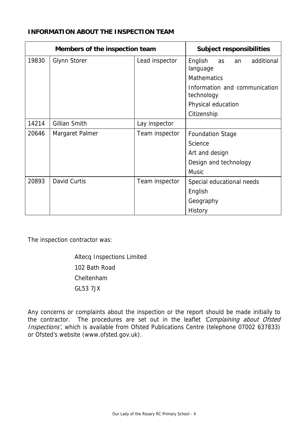## **INFORMATION ABOUT THE INSPECTION TEAM**

| Members of the inspection team |                     | <b>Subject responsibilities</b> |                                             |
|--------------------------------|---------------------|---------------------------------|---------------------------------------------|
| 19830                          | <b>Glynn Storer</b> | Lead inspector                  | English<br>additional<br>as<br>an           |
|                                |                     |                                 | language                                    |
|                                |                     |                                 | <b>Mathematics</b>                          |
|                                |                     |                                 | Information and communication<br>technology |
|                                |                     |                                 | Physical education                          |
|                                |                     |                                 | Citizenship                                 |
| 14214                          | Gillian Smith       | Lay inspector                   |                                             |
| 20646                          | Margaret Palmer     | Team inspector                  | <b>Foundation Stage</b>                     |
|                                |                     |                                 | Science                                     |
|                                |                     |                                 | Art and design                              |
|                                |                     |                                 | Design and technology                       |
|                                |                     |                                 | <b>Music</b>                                |
| 20893                          | David Curtis        | Team inspector                  | Special educational needs                   |
|                                |                     |                                 | English                                     |
|                                |                     |                                 | Geography                                   |
|                                |                     |                                 | History                                     |

The inspection contractor was:

 Altecq Inspections Limited 102 Bath Road Cheltenham GL53 7JX

Any concerns or complaints about the inspection or the report should be made initially to the contractor. The procedures are set out in the leaflet 'Complaining about Ofsted Inspections', which is available from Ofsted Publications Centre (telephone 07002 637833) or Ofsted's website (www.ofsted.gov.uk).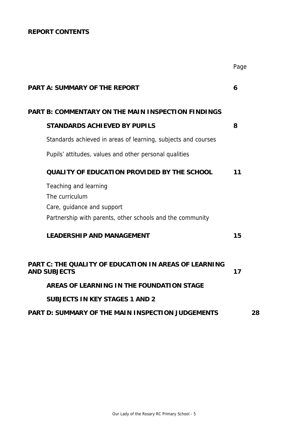# **REPORT CONTENTS**

|                                                                                     | Page |
|-------------------------------------------------------------------------------------|------|
| <b>PART A: SUMMARY OF THE REPORT</b>                                                | 6    |
| <b>PART B: COMMENTARY ON THE MAIN INSPECTION FINDINGS</b>                           |      |
| <b>STANDARDS ACHIEVED BY PUPILS</b>                                                 | 8    |
| Standards achieved in areas of learning, subjects and courses                       |      |
| Pupils' attitudes, values and other personal qualities                              |      |
| <b>QUALITY OF EDUCATION PROVIDED BY THE SCHOOL</b>                                  | 11   |
| Teaching and learning                                                               |      |
| The curriculum                                                                      |      |
| Care, guidance and support                                                          |      |
| Partnership with parents, other schools and the community                           |      |
| <b>LEADERSHIP AND MANAGEMENT</b>                                                    | 15   |
| <b>PART C: THE QUALITY OF EDUCATION IN AREAS OF LEARNING</b><br><b>AND SUBJECTS</b> | 17   |
| AREAS OF LEARNING IN THE FOUNDATION STAGE                                           |      |
| <b>SUBJECTS IN KEY STAGES 1 AND 2</b>                                               |      |
| <b>PART D: SUMMARY OF THE MAIN INSPECTION JUDGEMENTS</b>                            | 28   |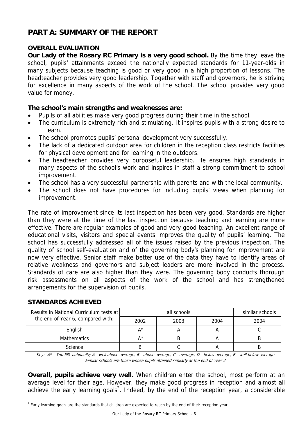# **PART A: SUMMARY OF THE REPORT**

# **OVERALL EVALUATION**

**Our Lady of the Rosary RC Primary is a very good school.** By the time they leave the school, pupils' attainments exceed the nationally expected standards for 11-year-olds in many subjects because teaching is good or very good in a high proportion of lessons. The headteacher provides very good leadership. Together with staff and governors, he is striving for excellence in many aspects of the work of the school. The school provides very good value for money.

# **The school's main strengths and weaknesses are:**

- Pupils of all abilities make very good progress during their time in the school.
- The curriculum is extremely rich and stimulating. It inspires pupils with a strong desire to learn.
- The school promotes pupils' personal development very successfully.
- The lack of a dedicated outdoor area for children in the reception class restricts facilities for physical development and for learning in the outdoors.
- The headteacher provides very purposeful leadership. He ensures high standards in many aspects of the school's work and inspires in staff a strong commitment to school improvement.
- The school has a very successful partnership with parents and with the local community.
- The school does not have procedures for including pupils' views when planning for improvement.

The rate of improvement since its last inspection has been very good. Standards are higher than they were at the time of the last inspection because teaching and learning are more effective. There are regular examples of good and very good teaching. An excellent range of educational visits, visitors and special events improves the quality of pupils' learning. The school has successfully addressed all of the issues raised by the previous inspection. The quality of school self-evaluation and of the governing body's planning for improvement are now very effective. Senior staff make better use of the data they have to identify areas of relative weakness and governors and subject leaders are more involved in the process. Standards of care are also higher than they were. The governing body conducts thorough risk assessments on all aspects of the work of the school and has strengthened arrangements for the supervision of pupils.

| Results in National Curriculum tests at |      | similar schools |      |      |
|-----------------------------------------|------|-----------------|------|------|
| the end of Year 6, compared with:       | 2002 | 2003            | 2004 | 2004 |
| English                                 | Δ*   |                 |      |      |
| <b>Mathematics</b>                      | Λ*   |                 |      |      |
| <b>Science</b>                          |      |                 |      |      |

# **STANDARDS ACHIEVED**

 $\overline{a}$ 

Key: A\* - Top 5% nationally; A - well above average; B - above average; C - average; D - below average; E - well below average Similar schools are those whose pupils attained similarly at the end of Year 2

**Overall, pupils achieve very well.** When children enter the school, most perform at an average level for their age. However, they make good progress in reception and almost all achieve the early learning goals<sup>2</sup>. Indeed, by the end of the reception year, a considerable

 $<sup>2</sup>$  Early learning goals are the standards that children are expected to reach by the end of their reception year.</sup>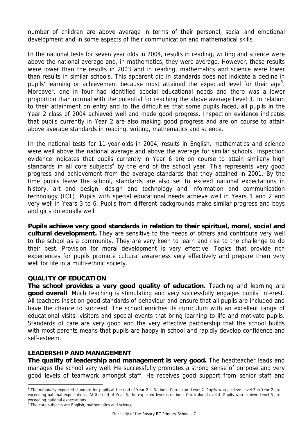number of children are above average in terms of their personal, social and emotional development and in some aspects of their communication and mathematical skills.

In the national tests for seven year olds in 2004, results in reading, writing and science were above the national average and, in mathematics, they were average. However, these results were lower than the results in 2003 and in reading, mathematics and science were lower than results in similar schools. This apparent dip in standards does not indicate a decline in pupils' learning or achievement because most attained the expected level for their age<sup>3</sup>. Moreover, one in four had identified special educational needs and there was a lower proportion than normal with the potential for reaching the above average Level 3. In relation to their attainment on entry and to the difficulties that some pupils faced, all pupils in the Year 2 class of 2004 achieved well and made good progress. Inspection evidence indicates that pupils currently in Year 2 are also making good progress and are on course to attain above average standards in reading, writing, mathematics and science.

In the national tests for 11-year-olds in 2004, results in English, mathematics and science were well above the national average and above the average for similar schools. Inspection evidence indicates that pupils currently in Year 6 are on course to attain similarly high standards in all core subjects<sup>4</sup> by the end of the school year. This represents very good progress and achievement from the average standards that they attained in 2001. By the time pupils leave the school, standards are also set to exceed national expectations in history, art and design, design and technology and information and communication technology (ICT). Pupils with special educational needs achieve well in Years 1 and 2 and very well in Years 3 to 6. Pupils from different backgrounds make similar progress and boys and girls do equally well.

**Pupils achieve very good standards in relation to their spiritual, moral, social and cultural development.** They are sensitive to the needs of others and contribute very well to the school as a community. They are very keen to learn and rise to the challenge to do their best. Provision for moral development is very effective. Topics that provide rich experiences for pupils promote cultural awareness very effectively and prepare them very well for life in a multi-ethnic society.

### **QUALITY OF EDUCATION**

**The school provides a very good quality of education.** Teaching and learning are **good overall**. Much teaching is stimulating and very successfully engages pupils' interest. All teachers insist on good standards of behaviour and ensure that all pupils are included and have the chance to succeed. The school enriches its curriculum with an excellent range of educational visits, visitors and special events that bring learning to life and motivate pupils. Standards of care are very good and the very effective partnership that the school builds with most parents means that pupils are happy in school and rapidly develop confidence and self-esteem.

# **LEADERSHIP AND MANAGEMENT**

**The quality of leadership and management is very good.** The headteacher leads and manages the school very well. He successfully promotes a strong sense of purpose and very good levels of teamwork amongst staff. He receives good support from senior staff and

 $\overline{a}$ 

<sup>&</sup>lt;sup>3</sup> The nationally expected standard for pupils at the end of Year 2 is National Curriculum Level 2. Pupils who achieve Level 3 in Year 2 are exceeding national expectations. At the end of Year 6, the expected level is national Curriculum Level 4. Pupils who achieve Level 5 are exceeding national expectations.

<sup>&</sup>lt;sup>4</sup> The core subjects are English, mathematics and science.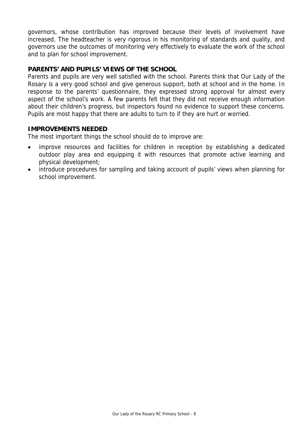governors, whose contribution has improved because their levels of involvement have increased. The headteacher is very rigorous in his monitoring of standards and quality, and governors use the outcomes of monitoring very effectively to evaluate the work of the school and to plan for school improvement.

# **PARENTS' AND PUPILS' VIEWS OF THE SCHOOL**

Parents and pupils are very well satisfied with the school. Parents think that Our Lady of the Rosary is a very good school and give generous support, both at school and in the home. In response to the parents' questionnaire, they expressed strong approval for almost every aspect of the school's work. A few parents felt that they did not receive enough information about their children's progress, but inspectors found no evidence to support these concerns. Pupils are most happy that there are adults to turn to if they are hurt or worried.

### **IMPROVEMENTS NEEDED**

The most important things the school should do to improve are:

- improve resources and facilities for children in reception by establishing a dedicated outdoor play area and equipping it with resources that promote active learning and physical development;
- introduce procedures for sampling and taking account of pupils' views when planning for school improvement.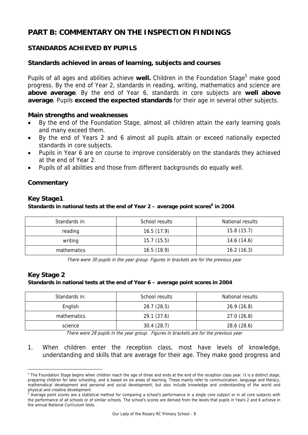# **PART B: COMMENTARY ON THE INSPECTION FINDINGS**

# **STANDARDS ACHIEVED BY PUPILS**

# **Standards achieved in areas of learning, subjects and courses**

Pupils of all ages and abilities achieve well. Children in the Foundation Stage<sup>5</sup> make good progress. By the end of Year 2, standards in reading, writing, mathematics and science are **above average**. By the end of Year 6, standards in core subjects are **well above average**. Pupils **exceed the expected standards** for their age in several other subjects.

### **Main strengths and weaknesses**

- By the end of the Foundation Stage, almost all children attain the early learning goals and many exceed them.
- By the end of Years 2 and 6 almost all pupils attain or exceed nationally expected standards in core subjects.
- Pupils in Year 6 are on course to improve considerably on the standards they achieved at the end of Year 2.
- Pupils of all abilities and those from different backgrounds do equally well.

### **Commentary**

# **Key Stage1**

### Standards in national tests at the end of Year 2 – average point scores<sup>6</sup> in 2004

| Standards in: | School results | National results |
|---------------|----------------|------------------|
| reading       | 16.5(17.9)     | 15.8(15.7)       |
| writing       | 15.7(15.5)     | 14.6 (14.6)      |
| mathematics   | 16.5(18.9)     | 16.2(16.3)       |

There were 30 pupils in the year group. Figures in brackets are for the previous year

# **Key Stage 2**

-

#### **Standards in national tests at the end of Year 6 – average point scores in 2004**

| Standards in: | School results | National results |
|---------------|----------------|------------------|
| English       | 28.7 (28.5)    | 26.9(26.8)       |
| mathematics   | 29.1(27.6)     | 27.0(26.8)       |
| science       | 30.4(28.7)     | 28.6 (28.6)      |

There were 28 pupils in the year group. Figures in brackets are for the previous year

1. When children enter the reception class, most have levels of knowledge, understanding and skills that are average for their age. They make good progress and

<sup>&</sup>lt;sup>5</sup> The Foundation Stage begins when children reach the age of three and ends at the end of the reception class year. It is a distinct stage, preparing children for later schooling, and is based on six areas of learning. These mainly refer to communication, language and literacy, mathematical development and personal and social development, but also include knowledge and understanding of the world and

physical and creative development.<br><sup>6</sup> Average point scores are a statistical method for comparing a school's performance in a single core subject or in all core subjects with the performance of all schools or of similar schools. The school's scores are derived from the levels that pupils in Years 2 and 6 achieve in the annual National Curriculum tests.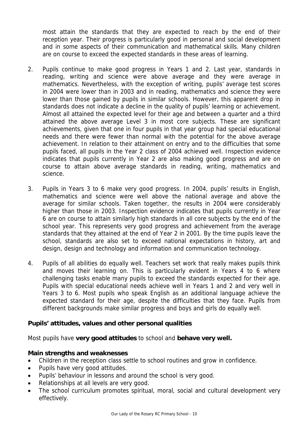most attain the standards that they are expected to reach by the end of their reception year. Their progress is particularly good in personal and social development and in some aspects of their communication and mathematical skills. Many children are on course to exceed the expected standards in these areas of learning.

- 2. Pupils continue to make good progress in Years 1 and 2. Last year, standards in reading, writing and science were above average and they were average in mathematics. Nevertheless, with the exception of writing, pupils' average test scores in 2004 were lower than in 2003 and in reading, mathematics and science they were lower than those gained by pupils in similar schools. However, this apparent drop in standards does not indicate a decline in the quality of pupils' learning or achievement. Almost all attained the expected level for their age and between a quarter and a third attained the above average Level 3 in most core subjects. These are significant achievements, given that one in four pupils in that year group had special educational needs and there were fewer than normal with the potential for the above average achievement. In relation to their attainment on entry and to the difficulties that some pupils faced, all pupils in the Year 2 class of 2004 achieved well. Inspection evidence indicates that pupils currently in Year 2 are also making good progress and are on course to attain above average standards in reading, writing, mathematics and science.
- 3. Pupils in Years 3 to 6 make very good progress. In 2004, pupils' results in English, mathematics and science were well above the national average and above the average for similar schools. Taken together, the results in 2004 were considerably higher than those in 2003. Inspection evidence indicates that pupils currently in Year 6 are on course to attain similarly high standards in all core subjects by the end of the school year. This represents very good progress and achievement from the average standards that they attained at the end of Year 2 in 2001. By the time pupils leave the school, standards are also set to exceed national expectations in history, art and design, design and technology and information and communication technology.
- 4. Pupils of all abilities do equally well. Teachers set work that really makes pupils think and moves their learning on. This is particularly evident in Years 4 to 6 where challenging tasks enable many pupils to exceed the standards expected for their age. Pupils with special educational needs achieve well in Years 1 and 2 and very well in Years 3 to 6. Most pupils who speak English as an additional language achieve the expected standard for their age, despite the difficulties that they face. Pupils from different backgrounds make similar progress and boys and girls do equally well.

# **Pupils' attitudes, values and other personal qualities**

Most pupils have **very good attitudes** to school and **behave very well.** 

### **Main strengths and weaknesses**

- Children in the reception class settle to school routines and grow in confidence.
- Pupils have very good attitudes.
- Pupils' behaviour in lessons and around the school is very good.
- Relationships at all levels are very good.
- The school curriculum promotes spiritual, moral, social and cultural development very effectively.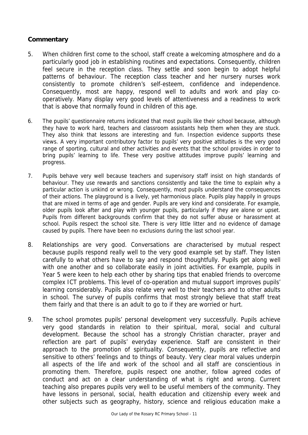- 5. When children first come to the school, staff create a welcoming atmosphere and do a particularly good job in establishing routines and expectations. Consequently, children feel secure in the reception class. They settle and soon begin to adopt helpful patterns of behaviour. The reception class teacher and her nursery nurses work consistently to promote children's self-esteem, confidence and independence. Consequently, most are happy, respond well to adults and work and play cooperatively. Many display very good levels of attentiveness and a readiness to work that is above that normally found in children of this age.
- 6. The pupils' questionnaire returns indicated that most pupils like their school because, although they have to work hard, teachers and classroom assistants help them when they are stuck. They also think that lessons are interesting and fun. Inspection evidence supports these views. A very important contributory factor to pupils' very positive attitudes is the very good range of sporting, cultural and other activities and events that the school provides in order to bring pupils' learning to life. These very positive attitudes improve pupils' learning and progress.
- 7. Pupils behave very well because teachers and supervisory staff insist on high standards of behaviour. They use rewards and sanctions consistently and take the time to explain why a particular action is unkind or wrong. Consequently, most pupils understand the consequences of their actions. The playground is a lively, yet harmonious place. Pupils play happily in groups that are mixed in terms of age and gender. Pupils are very kind and considerate. For example, older pupils look after and play with younger pupils, particularly if they are alone or upset. Pupils from different backgrounds confirm that they do not suffer abuse or harassment at school. Pupils respect the school site. There is very little litter and no evidence of damage caused by pupils. There have been no exclusions during the last school year.
- 8. Relationships are very good. Conversations are characterised by mutual respect because pupils respond really well to the very good example set by staff. They listen carefully to what others have to say and respond thoughtfully. Pupils get along well with one another and so collaborate easily in joint activities. For example, pupils in Year 5 were keen to help each other by sharing tips that enabled friends to overcome complex ICT problems. This level of co-operation and mutual support improves pupils' learning considerably. Pupils also relate very well to their teachers and to other adults in school. The survey of pupils confirms that most strongly believe that staff treat them fairly and that there is an adult to go to if they are worried or hurt.
- 9. The school promotes pupils' personal development very successfully. Pupils achieve very good standards in relation to their spiritual, moral, social and cultural development. Because the school has a strongly Christian character, prayer and reflection are part of pupils' everyday experience. Staff are consistent in their approach to the promotion of spirituality. Consequently, pupils are reflective and sensitive to others' feelings and to things of beauty. Very clear moral values underpin all aspects of the life and work of the school and all staff are conscientious in promoting them. Therefore, pupils respect one another, follow agreed codes of conduct and act on a clear understanding of what is right and wrong. Current teaching also prepares pupils very well to be useful members of the community. They have lessons in personal, social, health education and citizenship every week and other subjects such as geography, history, science and religious education make a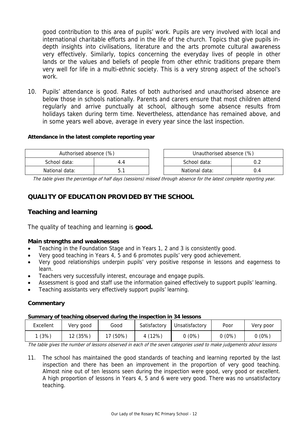good contribution to this area of pupils' work. Pupils are very involved with local and international charitable efforts and in the life of the church. Topics that give pupils indepth insights into civilisations, literature and the arts promote cultural awareness very effectively. Similarly, topics concerning the everyday lives of people in other lands or the values and beliefs of people from other ethnic traditions prepare them very well for life in a multi-ethnic society. This is a very strong aspect of the school's work.

10. Pupils' attendance is good. Rates of both authorised and unauthorised absence are below those in schools nationally. Parents and carers ensure that most children attend regularly and arrive punctually at school, although some absence results from holidays taken during term time. Nevertheless, attendance has remained above, and in some years well above, average in every year since the last inspection.

#### **Attendance in the latest complete reporting year**

| Authorised absence (%) |  | Unauthorised absence (%) |  |
|------------------------|--|--------------------------|--|
| School data:           |  | School data:             |  |
| National data:         |  | National data:           |  |

The table gives the percentage of half days (sessions) missed through absence for the latest complete reporting year.

# **QUALITY OF EDUCATION PROVIDED BY THE SCHOOL**

### **Teaching and learning**

The quality of teaching and learning is **good.**

#### **Main strengths and weaknesses**

- Teaching in the Foundation Stage and in Years 1, 2 and 3 is consistently good.
- Very good teaching in Years 4, 5 and 6 promotes pupils' very good achievement.
- Very good relationships underpin pupils' very positive response in lessons and eagerness to learn.
- Teachers very successfully interest, encourage and engage pupils.
- Assessment is good and staff use the information gained effectively to support pupils' learning.
- Teaching assistants very effectively support pupils' learning.

#### **Commentary**

#### **Summary of teaching observed during the inspection in 34 lessons**

| Excellent | Very good | Good     | Satisfactory | Unsatisfactory | Poor     | Very poor |
|-----------|-----------|----------|--------------|----------------|----------|-----------|
| (3%)      | 12 (35%)  | 17 (50%) | 4 (12%)      | $0(0\%)$       | $0(0\%)$ | $0(0\%)$  |

The table gives the number of lessons observed in each of the seven categories used to make judgements about lessons

11. The school has maintained the good standards of teaching and learning reported by the last inspection and there has been an improvement in the proportion of very good teaching. Almost nine out of ten lessons seen during the inspection were good, very good or excellent. A high proportion of lessons in Years 4, 5 and 6 were very good. There was no unsatisfactory teaching.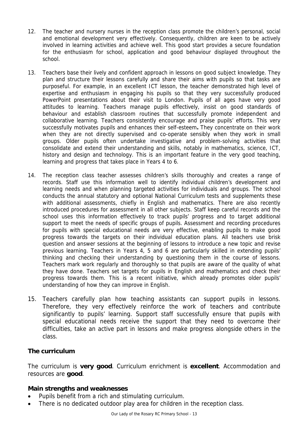- 12. The teacher and nursery nurses in the reception class promote the children's personal, social and emotional development very effectively. Consequently, children are keen to be actively involved in learning activities and achieve well. This good start provides a secure foundation for the enthusiasm for school, application and good behaviour displayed throughout the school.
- 13. Teachers base their lively and confident approach in lessons on good subject knowledge. They plan and structure their lessons carefully and share their aims with pupils so that tasks are purposeful. For example, in an excellent ICT lesson, the teacher demonstrated high level of expertise and enthusiasm in engaging his pupils so that they very successfully produced PowerPoint presentations about their visit to London. Pupils of all ages have very good attitudes to learning. Teachers manage pupils effectively, insist on good standards of behaviour and establish classroom routines that successfully promote independent and collaborative learning. Teachers consistently encourage and praise pupils' efforts. This very successfully motivates pupils and enhances their self-esteem**.** They concentrate on their work when they are not directly supervised and co-operate sensibly when they work in small groups. Older pupils often undertake investigative and problem-solving activities that consolidate and extend their understanding and skills, notably in mathematics, science, ICT, history and design and technology. This is an important feature in the very good teaching, learning and progress that takes place in Years 4 to 6.
- 14. The reception class teacher assesses children's skills thoroughly and creates a range of records. Staff use this information well to identify individual children's development and learning needs and when planning targeted activities for individuals and groups. The school conducts the annual statutory and optional National Curriculum tests and supplements these with additional assessments, chiefly in English and mathematics. There are also recently introduced procedures for assessment in all other subjects. Staff keep careful records and the school uses this information effectively to track pupils' progress and to target additional support to meet the needs of specific groups of pupils. Assessment and recording procedures for pupils with special educational needs are very effective, enabling pupils to make good progress towards the targets on their individual education plans. All teachers use brisk question and answer sessions at the beginning of lessons to introduce a new topic and revise previous learning. Teachers in Years 4, 5 and 6 are particularly skilled in extending pupils' thinking and checking their understanding by questioning them in the course of lessons. Teachers mark work regularly and thoroughly so that pupils are aware of the quality of what they have done. Teachers set targets for pupils in English and mathematics and check their progress towards them. This is a recent initiative, which already promotes older pupils' understanding of how they can improve in English.
- 15. Teachers carefully plan how teaching assistants can support pupils in lessons. Therefore, they very effectively reinforce the work of teachers and contribute significantly to pupils' learning. Support staff successfully ensure that pupils with special educational needs receive the support that they need to overcome their difficulties, take an active part in lessons and make progress alongside others in the class.

### **The curriculum**

The curriculum is **very good**. Curriculum enrichment is **excellent**. Accommodation and resources are **good**.

### **Main strengths and weaknesses**

- Pupils benefit from a rich and stimulating curriculum.
- There is no dedicated outdoor play area for children in the reception class.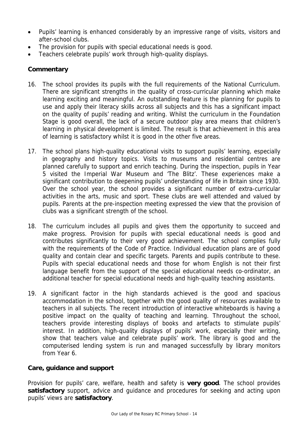- Pupils' learning is enhanced considerably by an impressive range of visits, visitors and after-school clubs.
- The provision for pupils with special educational needs is good.
- Teachers celebrate pupils' work through high-quality displays.

# **Commentary**

- 16. The school provides its pupils with the full requirements of the National Curriculum. There are significant strengths in the quality of cross-curricular planning which make learning exciting and meaningful. An outstanding feature is the planning for pupils to use and apply their literacy skills across all subjects and this has a significant impact on the quality of pupils' reading and writing. Whilst the curriculum in the Foundation Stage is good overall, the lack of a secure outdoor play area means that children's learning in physical development is limited. The result is that achievement in this area of learning is satisfactory whilst it is good in the other five areas.
- 17. The school plans high-quality educational visits to support pupils' learning, especially in geography and history topics. Visits to museums and residential centres are planned carefully to support and enrich teaching. During the inspection, pupils in Year 5 visited the Imperial War Museum and 'The Blitz'. These experiences make a significant contribution to deepening pupils' understanding of life in Britain since 1930. Over the school year, the school provides a significant number of extra-curricular activities in the arts, music and sport. These clubs are well attended and valued by pupils. Parents at the pre-inspection meeting expressed the view that the provision of clubs was a significant strength of the school.
- 18. The curriculum includes all pupils and gives them the opportunity to succeed and make progress. Provision for pupils with special educational needs is good and contributes significantly to their very good achievement. The school complies fully with the requirements of the Code of Practice. Individual education plans are of good quality and contain clear and specific targets. Parents and pupils contribute to these. Pupils with special educational needs and those for whom English is not their first language benefit from the support of the special educational needs co-ordinator, an additional teacher for special educational needs and high-quality teaching assistants.
- 19. A significant factor in the high standards achieved is the good and spacious accommodation in the school, together with the good quality of resources available to teachers in all subjects. The recent introduction of interactive whiteboards is having a positive impact on the quality of teaching and learning. Throughout the school, teachers provide interesting displays of books and artefacts to stimulate pupils' interest. In addition, high-quality displays of pupils' work, especially their writing, show that teachers value and celebrate pupils' work. The library is good and the computerised lending system is run and managed successfully by library monitors from Year 6.

# **Care, guidance and support**

Provision for pupils' care, welfare, health and safety is **very good**. The school provides **satisfactory** support, advice and guidance and procedures for seeking and acting upon pupils' views are **satisfactory**.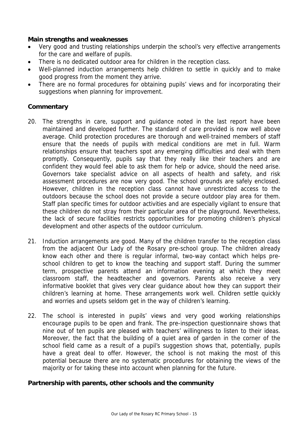### **Main strengths and weaknesses**

- Very good and trusting relationships underpin the school's very effective arrangements for the care and welfare of pupils.
- There is no dedicated outdoor area for children in the reception class.
- Well-planned induction arrangements help children to settle in quickly and to make good progress from the moment they arrive.
- There are no formal procedures for obtaining pupils' views and for incorporating their suggestions when planning for improvement.

### **Commentary**

- 20. The strengths in care, support and guidance noted in the last report have been maintained and developed further. The standard of care provided is now well above average. Child protection procedures are thorough and well-trained members of staff ensure that the needs of pupils with medical conditions are met in full. Warm relationships ensure that teachers spot any emerging difficulties and deal with them promptly. Consequently, pupils say that they really like their teachers and are confident they would feel able to ask them for help or advice, should the need arise. Governors take specialist advice on all aspects of health and safety, and risk assessment procedures are now very good. The school grounds are safely enclosed. However, children in the reception class cannot have unrestricted access to the outdoors because the school does not provide a secure outdoor play area for them. Staff plan specific times for outdoor activities and are especially vigilant to ensure that these children do not stray from their particular area of the playground. Nevertheless, the lack of secure facilities restricts opportunities for promoting children's physical development and other aspects of the outdoor curriculum.
- 21. Induction arrangements are good. Many of the children transfer to the reception class from the adjacent Our Lady of the Rosary pre-school group. The children already know each other and there is regular informal, two-way contact which helps preschool children to get to know the teaching and support staff. During the summer term, prospective parents attend an information evening at which they meet classroom staff, the headteacher and governors. Parents also receive a very informative booklet that gives very clear guidance about how they can support their children's learning at home. These arrangements work well. Children settle quickly and worries and upsets seldom get in the way of children's learning.
- 22. The school is interested in pupils' views and very good working relationships encourage pupils to be open and frank. The pre-inspection questionnaire shows that nine out of ten pupils are pleased with teachers' willingness to listen to their ideas. Moreover, the fact that the building of a quiet area of garden in the corner of the school field came as a result of a pupil's suggestion shows that, potentially, pupils have a great deal to offer. However, the school is not making the most of this potential because there are no systematic procedures for obtaining the views of the majority or for taking these into account when planning for the future.

# **Partnership with parents, other schools and the community**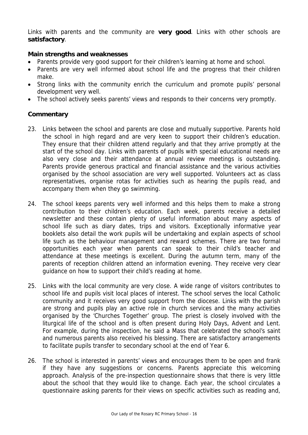Links with parents and the community are **very good**. Links with other schools are **satisfactory**.

### **Main strengths and weaknesses**

- Parents provide very good support for their children's learning at home and school.
- Parents are very well informed about school life and the progress that their children make.
- Strong links with the community enrich the curriculum and promote pupils' personal development very well.
- The school actively seeks parents' views and responds to their concerns very promptly.

- 23. Links between the school and parents are close and mutually supportive. Parents hold the school in high regard and are very keen to support their children's education. They ensure that their children attend regularly and that they arrive promptly at the start of the school day. Links with parents of pupils with special educational needs are also very close and their attendance at annual review meetings is outstanding. Parents provide generous practical and financial assistance and the various activities organised by the school association are very well supported. Volunteers act as class representatives, organise rotas for activities such as hearing the pupils read, and accompany them when they go swimming.
- 24. The school keeps parents very well informed and this helps them to make a strong contribution to their children's education. Each week, parents receive a detailed newsletter and these contain plenty of useful information about many aspects of school life such as diary dates, trips and visitors. Exceptionally informative year booklets also detail the work pupils will be undertaking and explain aspects of school life such as the behaviour management and reward schemes. There are two formal opportunities each year when parents can speak to their child's teacher and attendance at these meetings is excellent. During the autumn term, many of the parents of reception children attend an information evening. They receive very clear guidance on how to support their child's reading at home.
- 25. Links with the local community are very close. A wide range of visitors contributes to school life and pupils visit local places of interest. The school serves the local Catholic community and it receives very good support from the diocese. Links with the parish are strong and pupils play an active role in church services and the many activities organised by the 'Churches Together' group. The priest is closely involved with the liturgical life of the school and is often present during Holy Days, Advent and Lent. For example, during the inspection, he said a Mass that celebrated the school's saint and numerous parents also received his blessing. There are satisfactory arrangements to facilitate pupils transfer to secondary school at the end of Year 6.
- 26. The school is interested in parents' views and encourages them to be open and frank if they have any suggestions or concerns. Parents appreciate this welcoming approach. Analysis of the pre-inspection questionnaire shows that there is very little about the school that they would like to change. Each year, the school circulates a questionnaire asking parents for their views on specific activities such as reading and,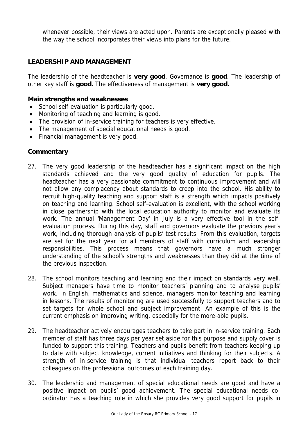whenever possible, their views are acted upon. Parents are exceptionally pleased with the way the school incorporates their views into plans for the future.

# **LEADERSHIP AND MANAGEMENT**

The leadership of the headteacher is **very good**. Governance is **good**. The leadership of other key staff is **good.** The effectiveness of management is **very good.** 

### **Main strengths and weaknesses**

- School self-evaluation is particularly good.
- Monitoring of teaching and learning is good.
- The provision of in-service training for teachers is very effective.
- The management of special educational needs is good.
- Financial management is very good.

- 27. The very good leadership of the headteacher has a significant impact on the high standards achieved and the very good quality of education for pupils. The headteacher has a very passionate commitment to continuous improvement and will not allow any complacency about standards to creep into the school. His ability to recruit high-quality teaching and support staff is a strength which impacts positively on teaching and learning. School self-evaluation is excellent, with the school working in close partnership with the local education authority to monitor and evaluate its work. The annual 'Management Day' in July is a very effective tool in the selfevaluation process. During this day, staff and governors evaluate the previous year's work, including thorough analysis of pupils' test results. From this evaluation, targets are set for the next year for all members of staff with curriculum and leadership responsibilities. This process means that governors have a much stronger understanding of the school's strengths and weaknesses than they did at the time of the previous inspection.
- 28. The school monitors teaching and learning and their impact on standards very well. Subject managers have time to monitor teachers' planning and to analyse pupils' work. In English, mathematics and science, managers monitor teaching and learning in lessons. The results of monitoring are used successfully to support teachers and to set targets for whole school and subject improvement. An example of this is the current emphasis on improving writing, especially for the more-able pupils.
- 29. The headteacher actively encourages teachers to take part in in-service training. Each member of staff has three days per year set aside for this purpose and supply cover is funded to support this training. Teachers and pupils benefit from teachers keeping up to date with subject knowledge, current initiatives and thinking for their subjects. A strength of in-service training is that individual teachers report back to their colleagues on the professional outcomes of each training day.
- 30. The leadership and management of special educational needs are good and have a positive impact on pupils' good achievement. The special educational needs coordinator has a teaching role in which she provides very good support for pupils in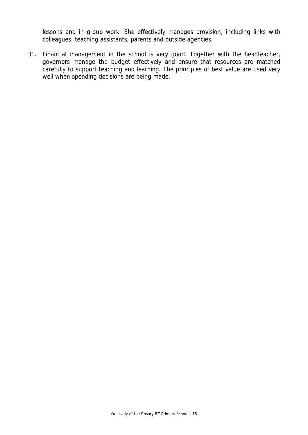lessons and in group work. She effectively manages provision, including links with colleagues, teaching assistants, parents and outside agencies.

31. Financial management in the school is very good. Together with the headteacher, governors manage the budget effectively and ensure that resources are matched carefully to support teaching and learning. The principles of best value are used very well when spending decisions are being made.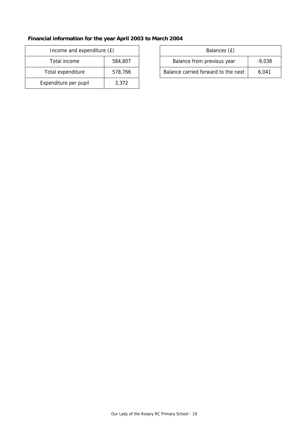# **Financial information for the year April 2003 to March 2004**

| Income and expenditure (£) |         | Balances (£)                     |
|----------------------------|---------|----------------------------------|
| Total income               | 584,807 | Balance from previous year       |
| Total expenditure          | 578,766 | Balance carried forward to the r |
| Expenditure per pupil      | 2,372   |                                  |

| Income and expenditure (£) |         | Balances (£)                        |          |
|----------------------------|---------|-------------------------------------|----------|
| Total income               | 584,807 | Balance from previous year          | $-9.038$ |
| Total expenditure          | 578.766 | Balance carried forward to the next | 6.041    |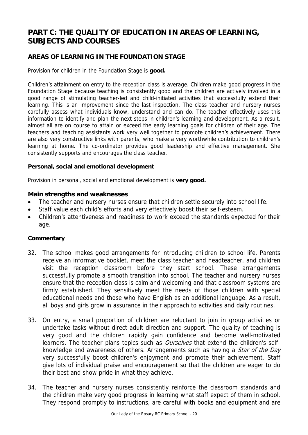# **PART C: THE QUALITY OF EDUCATION IN AREAS OF LEARNING, SUBJECTS AND COURSES**

# **AREAS OF LEARNING IN THE FOUNDATION STAGE**

Provision for children in the Foundation Stage is **good.**

Children's attainment on entry to the reception class is average. Children make good progress in the Foundation Stage because teaching is consistently good and the children are actively involved in a good range of stimulating teacher-led and child-initiated activities that successfully extend their learning. This is an improvement since the last inspection. The class teacher and nursery nurses carefully assess what individuals know, understand and can do. The teacher effectively uses this information to identify and plan the next steps in children's learning and development. As a result, almost all are on course to attain or exceed the early learning goals for children of their age. The teachers and teaching assistants work very well together to promote children's achievement. There are also very constructive links with parents, who make a very worthwhile contribution to children's learning at home. The co-ordinator provides good leadership and effective management. She consistently supports and encourages the class teacher.

### **Personal, social and emotional development**

Provision in personal, social and emotional development is **very good.**

### **Main strengths and weaknesses**

- The teacher and nursery nurses ensure that children settle securely into school life.
- Staff value each child's efforts and very effectively boost their self-esteem.
- Children's attentiveness and readiness to work exceed the standards expected for their age.

- 32. The school makes good arrangements for introducing children to school life. Parents receive an informative booklet, meet the class teacher and headteacher, and children visit the reception classroom before they start school. These arrangements successfully promote a smooth transition into school. The teacher and nursery nurses ensure that the reception class is calm and welcoming and that classroom systems are firmly established. They sensitively meet the needs of those children with special educational needs and those who have English as an additional language. As a result, all boys and girls grow in assurance in their approach to activities and daily routines.
- 33. On entry, a small proportion of children are reluctant to join in group activities or undertake tasks without direct adult direction and support. The quality of teaching is very good and the children rapidly gain confidence and become well-motivated learners. The teacher plans topics such as *Ourselves* that extend the children's selfknowledge and awareness of others. Arrangements such as having a Star of the Day very successfully boost children's enjoyment and promote their achievement. Staff give lots of individual praise and encouragement so that the children are eager to do their best and show pride in what they achieve.
- 34. The teacher and nursery nurses consistently reinforce the classroom standards and the children make very good progress in learning what staff expect of them in school. They respond promptly to instructions, are careful with books and equipment and are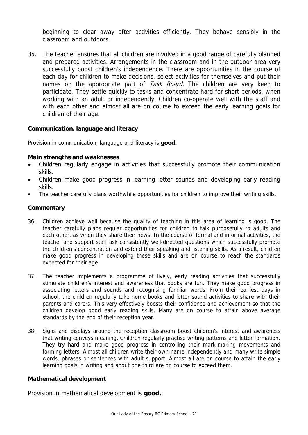beginning to clear away after activities efficiently. They behave sensibly in the classroom and outdoors.

35. The teacher ensures that all children are involved in a good range of carefully planned and prepared activities. Arrangements in the classroom and in the outdoor area very successfully boost children's independence. There are opportunities in the course of each day for children to make decisions, select activities for themselves and put their names on the appropriate part of Task Board. The children are very keen to participate. They settle quickly to tasks and concentrate hard for short periods, when working with an adult or independently. Children co-operate well with the staff and with each other and almost all are on course to exceed the early learning goals for children of their age.

### **Communication, language and literacy**

Provision in communication, language and literacy is **good.** 

#### **Main strengths and weaknesses**

- Children regularly engage in activities that successfully promote their communication skills.
- Children make good progress in learning letter sounds and developing early reading skills.
- The teacher carefully plans worthwhile opportunities for children to improve their writing skills.

### **Commentary**

- 36. Children achieve well because the quality of teaching in this area of learning is good. The teacher carefully plans regular opportunities for children to talk purposefully to adults and each other, as when they share their news. In the course of formal and informal activities, the teacher and support staff ask consistently well-directed questions which successfully promote the children's concentration and extend their speaking and listening skills. As a result, children make good progress in developing these skills and are on course to reach the standards expected for their age.
- 37. The teacher implements a programme of lively, early reading activities that successfully stimulate children's interest and awareness that books are fun. They make good progress in associating letters and sounds and recognising familiar words. From their earliest days in school, the children regularly take home books and letter sound activities to share with their parents and carers. This very effectively boosts their confidence and achievement so that the children develop good early reading skills. Many are on course to attain above average standards by the end of their reception year.
- 38. Signs and displays around the reception classroom boost children's interest and awareness that writing conveys meaning. Children regularly practise writing patterns and letter formation. They try hard and make good progress in controlling their mark-making movements and forming letters. Almost all children write their own name independently and many write simple words, phrases or sentences with adult support. Almost all are on course to attain the early learning goals in writing and about one third are on course to exceed them.

#### **Mathematical development**

Provision in mathematical development is **good.**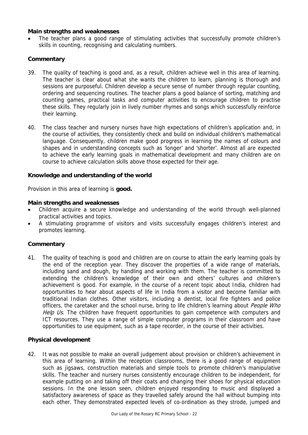#### **Main strengths and weaknesses**

The teacher plans a good range of stimulating activities that successfully promote children's skills in counting, recognising and calculating numbers.

#### **Commentary**

- 39. The quality of teaching is good and, as a result, children achieve well in this area of learning. The teacher is clear about what she wants the children to learn, planning is thorough and sessions are purposeful. Children develop a secure sense of number through regular counting, ordering and sequencing routines. The teacher plans a good balance of sorting, matching and counting games, practical tasks and computer activities to encourage children to practise these skills. They regularly join in lively number rhymes and songs which successfully reinforce their learning.
- 40. The class teacher and nursery nurses have high expectations of children's application and, in the course of activities, they consistently check and build on individual children's mathematical language. Consequently, children make good progress in learning the names of colours and shapes and in understanding concepts such as 'longer' and 'shorter'. Almost all are expected to achieve the early learning goals in mathematical development and many children are on course to achieve calculation skills above those expected for their age.

#### **Knowledge and understanding of the world**

Provision in this area of learning is **good.**

#### **Main strengths and weaknesses**

- Children acquire a secure knowledge and understanding of the world through well-planned practical activities and topics.
- A stimulating programme of visitors and visits successfully engages children's interest and promotes learning.

#### **Commentary**

41. The quality of teaching is good and children are on course to attain the early learning goals by the end of the reception year. They discover the properties of a wide range of materials, including sand and dough, by handling and working with them. The teacher is committed to extending the children's knowledge of their own and others' cultures and children's achievement is good. For example, in the course of a recent topic about India, children had opportunities to hear about aspects of life in India from a visitor and become familiar with traditional Indian clothes. Other visitors, including a dentist, local fire fighters and police officers, the caretaker and the school nurse, bring to life children's learning about *People Who* Help Us. The children have frequent opportunities to gain competence with computers and ICT resources. They use a range of simple computer programs in their classroom and have opportunities to use equipment, such as a tape recorder, in the course of their activities.

#### **Physical development**

42. It was not possible to make an overall judgement about provision or children's achievement in this area of learning. Within the reception classrooms, there is a good range of equipment such as jigsaws, construction materials and simple tools to promote children's manipulative skills. The teacher and nursery nurses consistently encourage children to be independent, for example putting on and taking off their coats and changing their shoes for physical education sessions. In the one lesson seen, children enjoyed responding to music and displayed a satisfactory awareness of space as they travelled safely around the hall without bumping into each other. They demonstrated expected levels of co-ordination as they strode, jumped and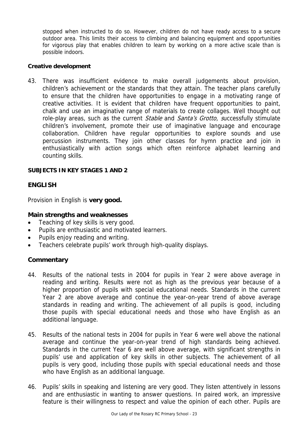stopped when instructed to do so. However, children do not have ready access to a secure outdoor area. This limits their access to climbing and balancing equipment and opportunities for vigorous play that enables children to learn by working on a more active scale than is possible indoors.

#### **Creative development**

43. There was insufficient evidence to make overall judgements about provision, children's achievement or the standards that they attain. The teacher plans carefully to ensure that the children have opportunities to engage in a motivating range of creative activities. It is evident that children have frequent opportunities to paint, chalk and use an imaginative range of materials to create collages. Well thought out role-play areas, such as the current *Stable* and *Santa's Grotto, successfully stimulate* children's involvement, promote their use of imaginative language and encourage collaboration. Children have regular opportunities to explore sounds and use percussion instruments. They join other classes for hymn practice and join in enthusiastically with action songs which often reinforce alphabet learning and counting skills.

### **SUBJECTS IN KEY STAGES 1 AND 2**

### **ENGLISH**

Provision in English is **very good.**

### **Main strengths and weaknesses**

- Teaching of key skills is very good.
- Pupils are enthusiastic and motivated learners.
- Pupils enjoy reading and writing.
- Teachers celebrate pupils' work through high-quality displays.

- 44. Results of the national tests in 2004 for pupils in Year 2 were above average in reading and writing. Results were not as high as the previous year because of a higher proportion of pupils with special educational needs. Standards in the current Year 2 are above average and continue the year-on-year trend of above average standards in reading and writing. The achievement of all pupils is good, including those pupils with special educational needs and those who have English as an additional language.
- 45. Results of the national tests in 2004 for pupils in Year 6 were well above the national average and continue the year-on-year trend of high standards being achieved. Standards in the current Year 6 are well above average, with significant strengths in pupils' use and application of key skills in other subjects. The achievement of all pupils is very good, including those pupils with special educational needs and those who have English as an additional language.
- 46. Pupils' skills in speaking and listening are very good. They listen attentively in lessons and are enthusiastic in wanting to answer questions. In paired work, an impressive feature is their willingness to respect and value the opinion of each other. Pupils are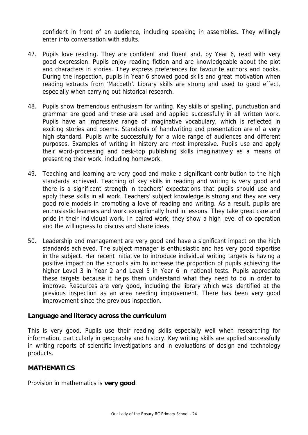confident in front of an audience, including speaking in assemblies. They willingly enter into conversation with adults.

- 47. Pupils love reading. They are confident and fluent and, by Year 6, read with very good expression. Pupils enjoy reading fiction and are knowledgeable about the plot and characters in stories. They express preferences for favourite authors and books. During the inspection, pupils in Year 6 showed good skills and great motivation when reading extracts from 'Macbeth'. Library skills are strong and used to good effect, especially when carrying out historical research.
- 48. Pupils show tremendous enthusiasm for writing. Key skills of spelling, punctuation and grammar are good and these are used and applied successfully in all written work. Pupils have an impressive range of imaginative vocabulary, which is reflected in exciting stories and poems. Standards of handwriting and presentation are of a very high standard. Pupils write successfully for a wide range of audiences and different purposes. Examples of writing in history are most impressive. Pupils use and apply their word-processing and desk-top publishing skills imaginatively as a means of presenting their work, including homework.
- 49. Teaching and learning are very good and make a significant contribution to the high standards achieved. Teaching of key skills in reading and writing is very good and there is a significant strength in teachers' expectations that pupils should use and apply these skills in all work. Teachers' subject knowledge is strong and they are very good role models in promoting a love of reading and writing. As a result, pupils are enthusiastic learners and work exceptionally hard in lessons. They take great care and pride in their individual work. In paired work, they show a high level of co-operation and the willingness to discuss and share ideas.
- 50. Leadership and management are very good and have a significant impact on the high standards achieved. The subject manager is enthusiastic and has very good expertise in the subject. Her recent initiative to introduce individual writing targets is having a positive impact on the school's aim to increase the proportion of pupils achieving the higher Level 3 in Year 2 and Level 5 in Year 6 in national tests. Pupils appreciate these targets because it helps them understand what they need to do in order to improve. Resources are very good, including the library which was identified at the previous inspection as an area needing improvement. There has been very good improvement since the previous inspection.

### **Language and literacy across the curriculum**

This is very good. Pupils use their reading skills especially well when researching for information, particularly in geography and history. Key writing skills are applied successfully in writing reports of scientific investigations and in evaluations of design and technology products.

### **MATHEMATICS**

Provision in mathematics is **very good**.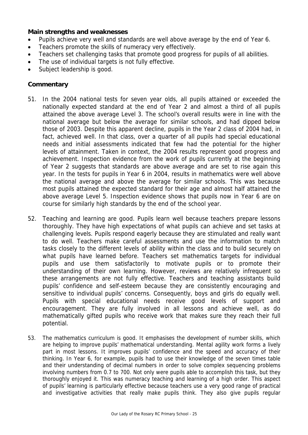### **Main strengths and weaknesses**

- Pupils achieve very well and standards are well above average by the end of Year 6.
- Teachers promote the skills of numeracy very effectively.
- Teachers set challenging tasks that promote good progress for pupils of all abilities.
- The use of individual targets is not fully effective.
- Subject leadership is good.

- 51. In the 2004 national tests for seven year olds, all pupils attained or exceeded the nationally expected standard at the end of Year 2 and almost a third of all pupils attained the above average Level 3. The school's overall results were in line with the national average but below the average for similar schools, and had dipped below those of 2003. Despite this apparent decline, pupils in the Year 2 class of 2004 had, in fact, achieved well. In that class, over a quarter of all pupils had special educational needs and initial assessments indicated that few had the potential for the higher levels of attainment. Taken in context, the 2004 results represent good progress and achievement. Inspection evidence from the work of pupils currently at the beginning of Year 2 suggests that standards are above average and are set to rise again this year. In the tests for pupils in Year 6 in 2004, results in mathematics were well above the national average and above the average for similar schools. This was because most pupils attained the expected standard for their age and almost half attained the above average Level 5. Inspection evidence shows that pupils now in Year 6 are on course for similarly high standards by the end of the school year.
- 52. Teaching and learning are good. Pupils learn well because teachers prepare lessons thoroughly. They have high expectations of what pupils can achieve and set tasks at challenging levels. Pupils respond eagerly because they are stimulated and really want to do well. Teachers make careful assessments and use the information to match tasks closely to the different levels of ability within the class and to build securely on what pupils have learned before. Teachers set mathematics targets for individual pupils and use them satisfactorily to motivate pupils or to promote their understanding of their own learning. However, reviews are relatively infrequent so these arrangements are not fully effective. Teachers and teaching assistants build pupils' confidence and self-esteem because they are consistently encouraging and sensitive to individual pupils' concerns. Consequently, boys and girls do equally well. Pupils with special educational needs receive good levels of support and encouragement. They are fully involved in all lessons and achieve well, as do mathematically gifted pupils who receive work that makes sure they reach their full potential.
- 53. The mathematics curriculum is good. It emphasises the development of number skills, which are helping to improve pupils' mathematical understanding. Mental agility work forms a lively part in most lessons. It improves pupils' confidence and the speed and accuracy of their thinking. In Year 6, for example, pupils had to use their knowledge of the seven times table and their understanding of decimal numbers in order to solve complex sequencing problems involving numbers from 0.7 to 700. Not only were pupils able to accomplish this task, but they thoroughly enjoyed it. This was numeracy teaching and learning of a high order. This aspect of pupils' learning is particularly effective because teachers use a very good range of practical and investigative activities that really make pupils think. They also give pupils regular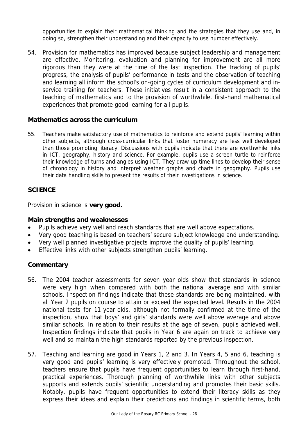opportunities to explain their mathematical thinking and the strategies that they use and, in doing so, strengthen their understanding and their capacity to use number effectively.

54. Provision for mathematics has improved because subject leadership and management are effective. Monitoring, evaluation and planning for improvement are all more rigorous than they were at the time of the last inspection. The tracking of pupils' progress, the analysis of pupils' performance in tests and the observation of teaching and learning all inform the school's on-going cycles of curriculum development and inservice training for teachers. These initiatives result in a consistent approach to the teaching of mathematics and to the provision of worthwhile, first-hand mathematical experiences that promote good learning for all pupils.

### **Mathematics across the curriculum**

55. Teachers make satisfactory use of mathematics to reinforce and extend pupils' learning within other subjects, although cross-curricular links that foster numeracy are less well developed than those promoting literacy. Discussions with pupils indicate that there are worthwhile links in ICT, geography, history and science. For example, pupils use a screen turtle to reinforce their knowledge of turns and angles using ICT. They draw up time lines to develop their sense of chronology in history and interpret weather graphs and charts in geography. Pupils use their data handling skills to present the results of their investigations in science.

### **SCIENCE**

Provision in science is **very good.**

### **Main strengths and weaknesses**

- Pupils achieve very well and reach standards that are well above expectations.
- Very good teaching is based on teachers' secure subject knowledge and understanding.
- Very well planned investigative projects improve the quality of pupils' learning.
- Effective links with other subjects strengthen pupils' learning.

- 56. The 2004 teacher assessments for seven year olds show that standards in science were very high when compared with both the national average and with similar schools. Inspection findings indicate that these standards are being maintained, with all Year 2 pupils on course to attain or exceed the expected level. Results in the 2004 national tests for 11-year-olds, although not formally confirmed at the time of the inspection, show that boys' and girls' standards were well above average and above similar schools. In relation to their results at the age of seven, pupils achieved well. Inspection findings indicate that pupils in Year 6 are again on track to achieve very well and so maintain the high standards reported by the previous inspection.
- 57. Teaching and learning are good in Years 1, 2 and 3. In Years 4, 5 and 6, teaching is very good and pupils' learning is very effectively promoted. Throughout the school, teachers ensure that pupils have frequent opportunities to learn through first-hand, practical experiences. Thorough planning of worthwhile links with other subjects supports and extends pupils' scientific understanding and promotes their basic skills. Notably, pupils have frequent opportunities to extend their literacy skills as they express their ideas and explain their predictions and findings in scientific terms, both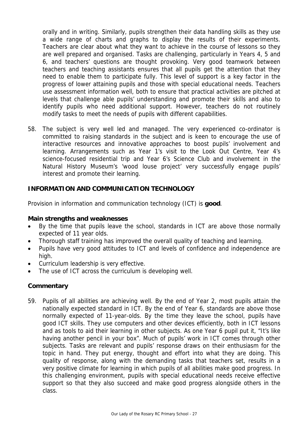orally and in writing. Similarly, pupils strengthen their data handling skills as they use a wide range of charts and graphs to display the results of their experiments. Teachers are clear about what they want to achieve in the course of lessons so they are well prepared and organised. Tasks are challenging, particularly in Years 4, 5 and 6, and teachers' questions are thought provoking. Very good teamwork between teachers and teaching assistants ensures that all pupils get the attention that they need to enable them to participate fully. This level of support is a key factor in the progress of lower attaining pupils and those with special educational needs. Teachers use assessment information well, both to ensure that practical activities are pitched at levels that challenge able pupils' understanding and promote their skills and also to identify pupils who need additional support. However, teachers do not routinely modify tasks to meet the needs of pupils with different capabilities.

58. The subject is very well led and managed. The very experienced co-ordinator is committed to raising standards in the subject and is keen to encourage the use of interactive resources and innovative approaches to boost pupils' involvement and learning. Arrangements such as Year 1's visit to the Look Out Centre, Year 4's science-focused residential trip and Year 6's Science Club and involvement in the Natural History Museum's 'wood louse project' very successfully engage pupils' interest and promote their learning.

# **INFORMATION AND COMMUNICATION TECHNOLOGY**

Provision in information and communication technology (ICT) is **good**.

#### **Main strengths and weaknesses**

- By the time that pupils leave the school, standards in ICT are above those normally expected of 11 year olds.
- Thorough staff training has improved the overall quality of teaching and learning.
- Pupils have very good attitudes to ICT and levels of confidence and independence are high.
- Curriculum leadership is very effective.
- The use of ICT across the curriculum is developing well.

### **Commentary**

59. Pupils of all abilities are achieving well. By the end of Year 2, most pupils attain the nationally expected standard in ICT. By the end of Year 6, standards are above those normally expected of 11-year-olds. By the time they leave the school, pupils have good ICT skills. They use computers and other devices efficiently, both in ICT lessons and as tools to aid their learning in other subjects. As one Year 6 pupil put it, "It's like having another pencil in your box". Much of pupils' work in ICT comes through other subjects. Tasks are relevant and pupils' response draws on their enthusiasm for the topic in hand. They put energy, thought and effort into what they are doing. This quality of response, along with the demanding tasks that teachers set, results in a very positive climate for learning in which pupils of all abilities make good progress. In this challenging environment, pupils with special educational needs receive effective support so that they also succeed and make good progress alongside others in the class.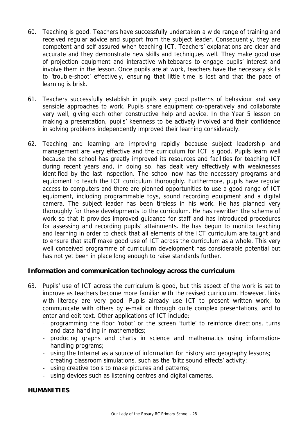- 60. Teaching is good. Teachers have successfully undertaken a wide range of training and received regular advice and support from the subject leader. Consequently, they are competent and self-assured when teaching ICT. Teachers' explanations are clear and accurate and they demonstrate new skills and techniques well. They make good use of projection equipment and interactive whiteboards to engage pupils' interest and involve them in the lesson. Once pupils are at work, teachers have the necessary skills to 'trouble-shoot' effectively, ensuring that little time is lost and that the pace of learning is brisk.
- 61. Teachers successfully establish in pupils very good patterns of behaviour and very sensible approaches to work. Pupils share equipment co-operatively and collaborate very well, giving each other constructive help and advice. In the Year 5 lesson on making a presentation, pupils' keenness to be actively involved and their confidence in solving problems independently improved their learning considerably.
- 62. Teaching and learning are improving rapidly because subject leadership and management are very effective and the curriculum for ICT is good. Pupils learn well because the school has greatly improved its resources and facilities for teaching ICT during recent years and, in doing so, has dealt very effectively with weaknesses identified by the last inspection. The school now has the necessary programs and equipment to teach the ICT curriculum thoroughly. Furthermore, pupils have regular access to computers and there are planned opportunities to use a good range of ICT equipment, including programmable toys, sound recording equipment and a digital camera. The subject leader has been tireless in his work. He has planned very thoroughly for these developments to the curriculum. He has rewritten the scheme of work so that it provides improved guidance for staff and has introduced procedures for assessing and recording pupils' attainments. He has begun to monitor teaching and learning in order to check that all elements of the ICT curriculum are taught and to ensure that staff make good use of ICT across the curriculum as a whole. This very well conceived programme of curriculum development has considerable potential but has not yet been in place long enough to raise standards further.

### **Information and communication technology across the curriculum**

- 63. Pupils' use of ICT across the curriculum is good, but this aspect of the work is set to improve as teachers become more familiar with the revised curriculum. However, links with literacy are very good. Pupils already use ICT to present written work, to communicate with others by e-mail or through quite complex presentations, and to enter and edit text. Other applications of ICT include:
	- programming the floor 'robot' or the screen 'turtle' to reinforce directions, turns and data handling in mathematics;
	- producing graphs and charts in science and mathematics using informationhandling programs;
	- using the Internet as a source of information for history and geography lessons;
	- creating classroom simulations, such as the 'blitz sound effects' activity;
	- using creative tools to make pictures and patterns;
	- using devices such as listening centres and digital cameras.

### **HUMANITIES**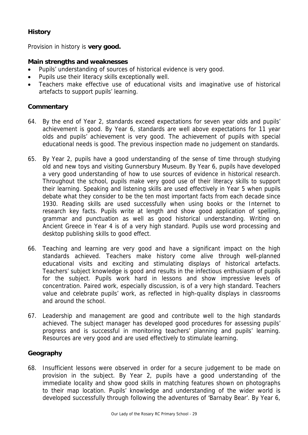# **History**

Provision in history is **very good.**

# **Main strengths and weaknesses**

- Pupils' understanding of sources of historical evidence is very good.
- Pupils use their literacy skills exceptionally well.
- Teachers make effective use of educational visits and imaginative use of historical artefacts to support pupils' learning.

# **Commentary**

- 64. By the end of Year 2, standards exceed expectations for seven year olds and pupils' achievement is good. By Year 6, standards are well above expectations for 11 year olds and pupils' achievement is very good. The achievement of pupils with special educational needs is good. The previous inspection made no judgement on standards.
- 65. By Year 2, pupils have a good understanding of the sense of time through studying old and new toys and visiting Gunnersbury Museum. By Year 6, pupils have developed a very good understanding of how to use sources of evidence in historical research. Throughout the school, pupils make very good use of their literacy skills to support their learning. Speaking and listening skills are used effectively in Year 5 when pupils debate what they consider to be the ten most important facts from each decade since 1930. Reading skills are used successfully when using books or the Internet to research key facts. Pupils write at length and show good application of spelling, grammar and punctuation as well as good historical understanding. Writing on Ancient Greece in Year 4 is of a very high standard. Pupils use word processing and desktop publishing skills to good effect.
- 66. Teaching and learning are very good and have a significant impact on the high standards achieved. Teachers make history come alive through well-planned educational visits and exciting and stimulating displays of historical artefacts. Teachers' subject knowledge is good and results in the infectious enthusiasm of pupils for the subject. Pupils work hard in lessons and show impressive levels of concentration. Paired work, especially discussion, is of a very high standard. Teachers value and celebrate pupils' work, as reflected in high-quality displays in classrooms and around the school.
- 67. Leadership and management are good and contribute well to the high standards achieved. The subject manager has developed good procedures for assessing pupils' progress and is successful in monitoring teachers' planning and pupils' learning. Resources are very good and are used effectively to stimulate learning.

# **Geography**

68. Insufficient lessons were observed in order for a secure judgement to be made on provision in the subject. By Year 2, pupils have a good understanding of the immediate locality and show good skills in matching features shown on photographs to their map location. Pupils' knowledge and understanding of the wider world is developed successfully through following the adventures of 'Barnaby Bear'. By Year 6,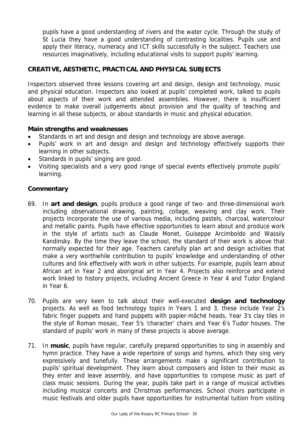pupils have a good understanding of rivers and the water cycle. Through the study of St Lucia they have a good understanding of contrasting localities. Pupils use and apply their literacy, numeracy and ICT skills successfully in the subject. Teachers use resources imaginatively, including educational visits to support pupils' learning.

# **CREATIVE, AESTHETIC, PRACTICAL AND PHYSICAL SUBJECTS**

Inspectors observed three lessons covering art and design, design and technology, music and physical education. Inspectors also looked at pupils' completed work, talked to pupils about aspects of their work and attended assemblies. However, there is insufficient evidence to make overall judgements about provision and the quality of teaching and learning in all these subjects, or about standards in music and physical education.

### **Main strengths and weaknesses**

- Standards in art and design and design and technology are above average.
- Pupils' work in art and design and design and technology effectively supports their learning in other subjects.
- Standards in pupils' singing are good.
- Visiting specialists and a very good range of special events effectively promote pupils' learning.

- 69. In **art and design**, pupils produce a good range of two- and three-dimensional work including observational drawing, painting, collage, weaving and clay work. Their projects incorporate the use of various media, including pastels, charcoal, watercolour and metallic paints. Pupils have effective opportunities to learn about and produce work in the style of artists such as Claude Monet, Guiseppe Arcimboldo and Wassily Kandinsky. By the time they leave the school, the standard of their work is above that normally expected for their age. Teachers carefully plan art and design activities that make a very worthwhile contribution to pupils' knowledge and understanding of other cultures and link effectively with work in other subjects. For example, pupils learn about African art in Year 2 and aboriginal art in Year 4. Projects also reinforce and extend work linked to history projects, including Ancient Greece in Year 4 and Tudor England in Year 6.
- 70. Pupils are very keen to talk about their well-executed **design and technology** projects. As well as food technology topics in Years 1 and 3, these include Year 2's fabric finger puppets and hand puppets with papier-mâché heads, Year 3's clay tiles in the style of Roman mosaic, Year 5's 'character' chairs and Year 6's Tudor houses. The standard of pupils' work in many of these projects is above average.
- 71. In **music**, pupils have regular, carefully prepared opportunities to sing in assembly and hymn practice. They have a wide repertoire of songs and hymns, which they sing very expressively and tunefully. These arrangements make a significant contribution to pupils' spiritual development. They learn about composers and listen to their music as they enter and leave assembly, and have opportunities to compose music as part of class music sessions. During the year, pupils take part in a range of musical activities including musical concerts and Christmas performances. School choirs participate in music festivals and older pupils have opportunities for instrumental tuition from visiting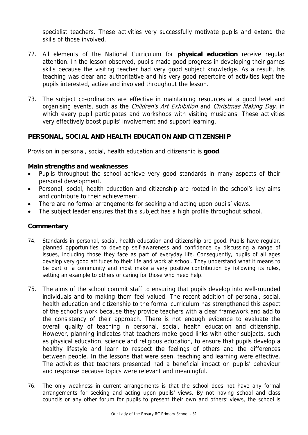specialist teachers. These activities very successfully motivate pupils and extend the skills of those involved.

- 72. All elements of the National Curriculum for **physical education** receive regular attention. In the lesson observed, pupils made good progress in developing their games skills because the visiting teacher had very good subject knowledge. As a result, his teaching was clear and authoritative and his very good repertoire of activities kept the pupils interested, active and involved throughout the lesson.
- 73. The subject co-ordinators are effective in maintaining resources at a good level and organising events, such as the *Children's Art Exhibition* and *Christmas Making Day*, in which every pupil participates and workshops with visiting musicians. These activities very effectively boost pupils' involvement and support learning.

# **PERSONAL, SOCIAL AND HEALTH EDUCATION AND CITIZENSHIP**

Provision in personal, social, health education and citizenship is **good**.

### **Main strengths and weaknesses**

- Pupils throughout the school achieve very good standards in many aspects of their personal development.
- Personal, social, health education and citizenship are rooted in the school's key aims and contribute to their achievement.
- There are no formal arrangements for seeking and acting upon pupils' views.
- The subject leader ensures that this subject has a high profile throughout school.

- 74. Standards in personal, social, health education and citizenship are good. Pupils have regular, planned opportunities to develop self-awareness and confidence by discussing a range of issues, including those they face as part of everyday life. Consequently, pupils of all ages develop very good attitudes to their life and work at school. They understand what it means to be part of a community and most make a very positive contribution by following its rules, setting an example to others or caring for those who need help.
- 75. The aims of the school commit staff to ensuring that pupils develop into well-rounded individuals and to making them feel valued. The recent addition of personal, social, health education and citizenship to the formal curriculum has strengthened this aspect of the school's work because they provide teachers with a clear framework and add to the consistency of their approach. There is not enough evidence to evaluate the overall quality of teaching in personal, social, health education and citizenship. However, planning indicates that teachers make good links with other subjects, such as physical education, science and religious education, to ensure that pupils develop a healthy lifestyle and learn to respect the feelings of others and the differences between people. In the lessons that were seen, teaching and learning were effective. The activities that teachers presented had a beneficial impact on pupils' behaviour and response because topics were relevant and meaningful.
- 76. The only weakness in current arrangements is that the school does not have any formal arrangements for seeking and acting upon pupils' views. By not having school and class councils or any other forum for pupils to present their own and others' views, the school is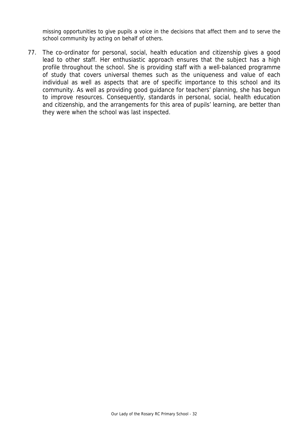missing opportunities to give pupils a voice in the decisions that affect them and to serve the school community by acting on behalf of others.

77. The co-ordinator for personal, social, health education and citizenship gives a good lead to other staff. Her enthusiastic approach ensures that the subject has a high profile throughout the school. She is providing staff with a well-balanced programme of study that covers universal themes such as the uniqueness and value of each individual as well as aspects that are of specific importance to this school and its community. As well as providing good guidance for teachers' planning, she has begun to improve resources. Consequently, standards in personal, social, health education and citizenship, and the arrangements for this area of pupils' learning, are better than they were when the school was last inspected.